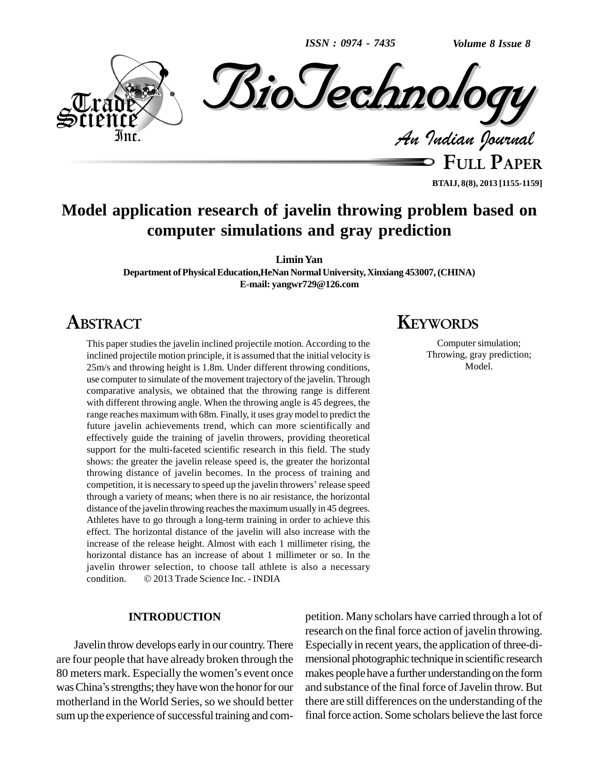*ISSN : 0974 - 7435*

*Volume 8 Issue 8*



**FULL PAPER BTAIJ, 8(8), 2013 [1155-1159]**

# **Model application research of javelin throwing problem based on computer simulations and gray prediction**

**LiminYan**

**Department ofPhysicalEducation,HeNan NormalUniversity,Xinxiang 453007,(CHINA) E-mail: [yangwr729@126.com](mailto:yangwr729@126.com)**

# **ABSTRACT**

This paper studies the javelin inclined projectile motion. According to the inclined projectile motion principle, it is assumed that the initial velocity is 25m/s and throwing height is 1.8m. Under different throwing conditions, use computer to simulate of the movement trajectory of the javelin. Through comparative analysis, we obtained that the throwing range is different with different throwing angle. When the throwing angle is 45 degrees, the range reaches maximum with 68m. Finally, it uses graymodel to predict the future javelin achievements trend, which can more scientifically and effectively guide the training of javelin throwers, providing theoretical support for the multi-faceted scientific research in this field. The study shows: the greater the javelin release speed is, the greater the horizontal throwing distance of javelin becomes. In the process of training and shows: the greater the javelin release speed is, the greater the horizontal<br>throwing distance of javelin becomes. In the process of training and<br>competition, it is necessary to speed up the javelin throwers' release speed through a variety of means; when there is no air resistance, the horizontal distance of the javelin throwing reaches the maximum usually in 45 degrees. Athletes have to go through a long-term training in order to achieve this effect. The horizontal distance of the javelin will also increase with the increase of the release height. Almost with each 1 millimeter rising, the horizontal distance has an increase of about 1 millimeter or so. In the javelin thrower selection, to choose tall athlete is also a necessary condition.  $\odot$  2013 Trade Science Inc. - INDIA javelin thrower selection, to choose tall athlete is also a necessary

## **INTRODUCTION**

Javelin throw develops early in our country.There are four people that have already broken through the Javelin throw develops early in our country. There Especare four people that have already broken through the mensi 80 meters mark. Especially the women's event once makes are four people that have already broken through the mer<br>80 meters mark. Especially the women's event once mak<br>was China's strengths; they have won the honor for our and motherland in the World Series, so we should better sum up the experience of successful training and com-

# **KEYWORDS**

Computer simulation; Throwing, gray prediction; Model.

petition. Many scholars have carried through a lotof research on the final force action of javelin throwing. Especially in recent years, the application of three-di mensional photographic technique in scientific research makes people have a further understanding on the form and substance of the final force of Javelin throw. But there are still differences on the understanding of the final force action. Some scholars believe the last force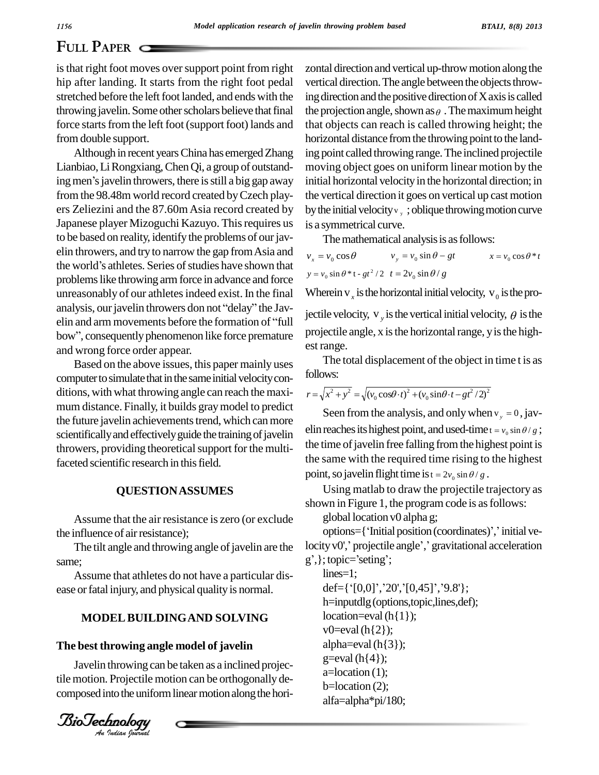## **FULL PAPER**

is that right foot moves over support point from right hip after landing. It starts from the right foot pedal stretched before the left foot landed, and ends with the throwing javelin. Some other scholars believe that final force starts from the left foot (support foot) lands and from double support.

Although in recent yearsChina has emergedZhang Lianbiao, Li Rongxiang, Chen Qi, a group of outstanding men's javelin throwers, there is still a big gap away from the 98.48m world record created byCzech play ers Zeliezini and the 87.60mAsia record created by Japanese player Mizoguchi Kazuyo. Thisrequires us to be based on reality, identify the problems of our jav-<br>elin throwers, and try to narrow the gap from Asia and<br>the world's athletes. Series of studies have shown that elin throwers, and try to narrow the gap fromAsia and problems like throwing arm force in advance and force unreasonably of our athletes indeed exist. In the final  $W$ problems like throwing arm force in advance and force<br>unreasonably of our athletes indeed exist. In the final Wh<br>analysis, our javelin throwers don not "delay" the Javunreasonably of our athletes indeed exist. In the final Wi<br>analysis, our javelin throwers don not "delay" the Jav-<br>elin and arm movements before the formation of "full analysis, our javelin throwers don not "delay" the Javelin and arm movements before the formation of "full bow", consequently phenomenon like force premature and wrong force order appear.

Based on the above issues, this paper mainly uses computer to simulate that in the same initial velocity conditions, with what throwing angle can reach the maxi mum distance. Finally, it builds gray model to predict the future javelin achievements trend, which can more scientifically and effectively guide the training of javelin throwers, providing theoretical support for the multifaceted scientific research in this field.

## **QUESTIONASSUMES**

Assume that the air resistance is zero (or exclude the influence of air resistance);

The tilt angle and throwing angle of javelin are the same;

Assume that athletes do not have a particular dis ease or fatal injury, and physical quality is normal.

# **MODEL BUILDING AND SOLVING**

## *An***The best throwing angle model of javelin**

Javelin throwing can be taken as a inclined projectile motion. Projectile motion can be orthogonally de composed into the uniform linear motion along the hori-

*Indian Journal*

zontal direction and vertical up-throw motion along the vertical direction. The angle between the objects throwing direction and the positive direction of X axis is called the projection angle, shown as  $\theta$ . The maximum height that objects can reach is called throwing height; the horizontal distance from the throwing point to the landing point called throwing range.The inclined projectile moving object goes on uniform linear motion by the initial horizontal velocity in the horizontal direction; in the vertical direction it goes on vertical up castmotion by the initial velocity  $v_y$ ; oblique throwing motion curve is a symmetrical curve.

| wasymmethedi car ve.<br>The mathematical analysis is as follows: |                              |                           |  |  |  |  |
|------------------------------------------------------------------|------------------------------|---------------------------|--|--|--|--|
| $v_x = v_0 \cos \theta$                                          | $v_y = v_0 \sin \theta - gt$ | $x = v_0 \cos \theta * t$ |  |  |  |  |
| $y = v_0 \sin \theta * t - gt^2 / 2 t = 2v_0 \sin \theta / g$    |                              |                           |  |  |  |  |

Wherein  $v_x$  is the horizontal initial velocity,  $v_0$  is the projectile velocity,  $v_y$  is the vertical initial velocity,  $\theta$  is the projectile angle,  $x$  is the horizontal range,  $y$  is the highest range.

The total displacement of the object in time t is as follows: follows:<br> $r = \sqrt{x^2 + y^2} = \sqrt{(v_0 \cos \theta \cdot t)^2 + (v_0 \sin \theta \cdot t - gt^2 / 2)^2}$ 

$$
r = \sqrt{x^2 + y^2} = \sqrt{(v_0 \cos \theta \cdot t)^2 + (v_0 \sin \theta \cdot t - gt^2 / 2)^2}
$$

Seen from the analysis, and only when  $v_y = 0$ , javelin reaches its highest point, and used-time  $t = v_0 \sin \theta / g$ ; the time of javelin free falling from the highest point is the same with the required time rising to the highest<br>point, so javelin flight time is  $t = 2v_0 \sin \theta / g$ .

Using matlab to draw the projectile trajectory as shown in Figure 1, the program code is as follows:

global location v0 alpha g;

options={'Initial position (coordinates)',' initial veglobal location v0 alpha g;<br>options={'Initial position (coordinates)',' initial ve-<br>locity v0',' projectile angle',' gravitational acceleration options={'Initial posi-<br>locity v0',' projectile angle<br>g', }; topic='seting';

lines=1; g', }; topic='seting';<br>lines=1;<br>def={'[0,0]','20','[0,45]','9.8'}; h=inputdlg(options,topic,lines,def); location=eval $(h{1})$ ;  $v0=eval(h{2})$ ; alpha=eval $(h{3})$ ;  $g=eval(h{4});$ a=location (1); b=location (2); alfa=alpha\*pi/180;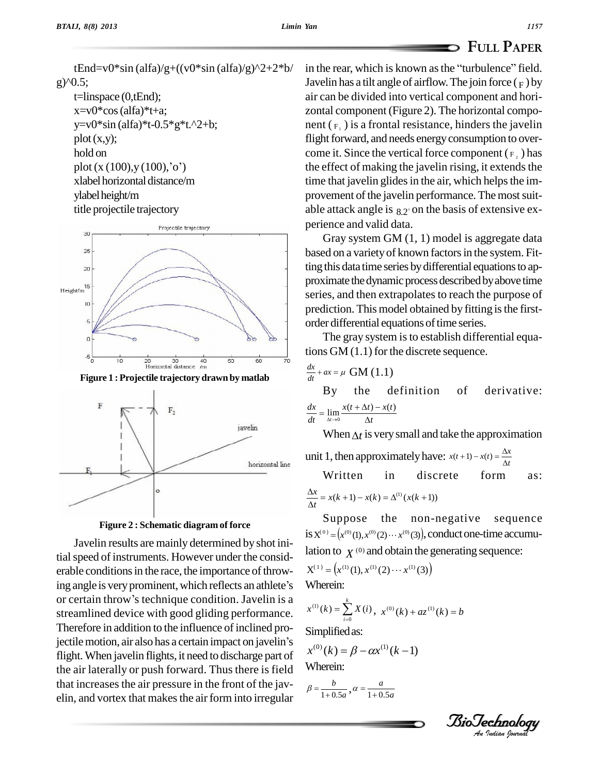tEnd=v0\*sin (alfa)/g+((v0\*sin (alfa)/g)^2+2\*b/ g)^0.5; t=linspace (0,tEnd);  $x=y0*cos$  (alfa) $*t+a$ ; y=v0\*sin (alfa)\*t-0.5\*g\*t.^2+b;  $plot(x,y);$ hold on plot  $(x (100), y (100),'o')$ xlabel horizontal distance/m

ylabel height/m

title projectile trajectory



**Figure 1 : Projectile trajectory drawn by matlab**





Javelin results are mainly determined by shot initial speed of instruments. However under the considerable conditions in the race, the importance of throw-<br>ing angle is very prominent, which reflects an athlete's Whe erable conditions in the race, the importance of throwing angle is very prominent, which reflects an athlete's or certain throw's technique condition. Javelin is a streamlined device with good gliding performance.<br>Therefore in addition to the influence of inclined pro-<br>jectile motion, air also has a certain impact on javelin's Therefore in addition to the influence of inclined proflight.When javelin flights, it need to discharge part of the air laterally or push forward. Thus there is field that increases the air pressure in the front of the javelin, and vortex that makes the air form into irregular

in the rear, which is known as the "turbulence" field. Javelin has a tilt angle of airflow. The join force  $(F)$  by air can be divided into vertical component and hori zontal component (Figure 2). The horizontal compo nent  $(F_1)$  is a frontal resistance, hinders the javelin flight forward, and needs energy consumption to overcome it. Since the vertical force component  $(F, )$  has the effect of making the javelin rising, it extends the time that javelin glides in the air, which helps the improvement of the javelin performance. The most suitable attack angle is  $_{8.2^\circ}$  on the basis of extensive experience and valid data.

Gray system GM (1, 1) model is aggregate data based on a variety of known factors in the system. Fitting this data time series by differential equations to approximate the dynamic process described by above time series, and then extrapolates to reach the purpose of prediction. This model obtained by fitting is the firstorder differential equations of time series.

The gray system is to establish differential equations GM (1.1) for the discrete sequence.<br> $\frac{dx}{dx} + ax = \mu$  GM (1.1)

$$
\frac{dx}{dt} + ax = \mu \text{ GM (1.1)}
$$

definition of derivative:  $\frac{dx}{dt} = \lim_{\Delta t \to 0} \frac{x(t + \Delta t) - x(t)}{\Delta t}$  $dx$ <sub>1:11</sub>  $\lambda$  $\lim_{t\to 0} \frac{x(t+\Delta t)}{\Delta}$ the By the defini<br> $\lim_{\Delta t \to 0} \frac{x(t + \Delta t) - x(t)}{\Delta t}$ **B**<sub>V</sub>  $\lim_{\Delta t \to 0} \frac{x(t + \Delta t) - x(t)}{\Delta t}$ <br>When  $\Delta t$  is very small and take the approximation

 $\mathbf{v}$ 

When  $\Delta t$  is very small and take the approximation<br>unit 1, then approximately have:  $x(t+1) - x(t) = \frac{\Delta x}{\Delta t}$ 

**Written** in discrete form as:  
\n
$$
\frac{\Delta x}{\Delta t} = x(k+1) - x(k) = \Delta^{(1)}(x(k+1))
$$

Suppose the non-negative sequence Suppose the non-negative sequence<br>is  $X^{(0)} = (x^{(0)}(1), x^{(0)}(2) \cdots x^{(0)}(3))$ , conductone-time accumulation to  $\chi^{(0)}$  and obtain the generating sequence:<br> $X^{(1)} = (x^{(1)}(1), x^{(1)}(2) \cdots x^{(1)}(3))$ 

$$
X^{(1)} = (x^{(1)}(1), x^{(1)}(2) \cdots x^{(1)}(3))
$$
  
Whenin:

Wherein:

Wherein:  
\n
$$
x^{(1)}(k) = \sum_{i=0}^{k} X(i), \ x^{(0)}(k) + az^{(1)}(k) = b
$$

Simplified as:

Simplified as:  
\n
$$
x^{(0)}(k) = \beta - \alpha x^{(1)}(k-1)
$$
\nWherein:

Wherein:  
\n
$$
\beta = \frac{b}{1+0.5a}, \alpha = \frac{a}{1+0.5a}
$$

*Indian Journal*

**FULL PAPER**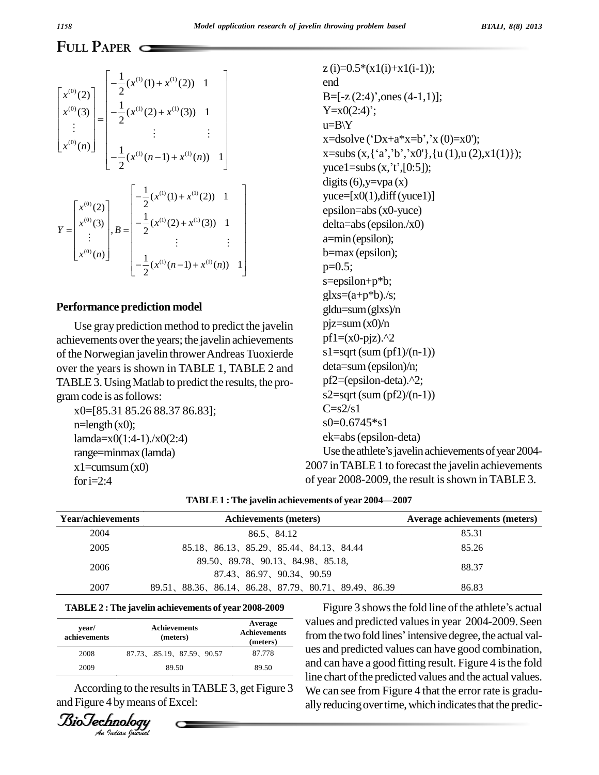# **FULL PAPER**

$$
\begin{bmatrix}\nx^{(0)}(2) \\
x^{(0)}(3) \\
\vdots \\
x^{(0)}(n)\n\end{bmatrix} = \begin{bmatrix}\n-\frac{1}{2}(x^{(1)}(1) + x^{(1)}(2)) & 1 \\
-\frac{1}{2}(x^{(1)}(2) + x^{(1)}(3)) & 1 \\
\vdots & \vdots & \vdots \\
-\frac{1}{2}(x^{(1)}(n-1) + x^{(1)}(n)) & 1\n\end{bmatrix}
$$
\n
$$
Y = \begin{bmatrix}\nx^{(0)}(2) \\
x^{(0)}(3) \\
\vdots \\
x^{(0)}(n)\n\end{bmatrix}, B = \begin{bmatrix}\n-\frac{1}{2}(x^{(1)}(1) + x^{(1)}(2)) & 1 \\
-\frac{1}{2}(x^{(1)}(2) + x^{(1)}(3)) & 1 \\
\vdots & \vdots \\
-\frac{1}{2}(x^{(1)}(n-1) + x^{(1)}(n)) & 1\n\end{bmatrix}
$$

## **Performance prediction model**

Use gray prediction method to predict the javelin achievements over the years; the javelin achievements of the Norwegian javelin thrower Andreas Tuoxierde over the years is shown in TABLE 1, TABLE 2 and TABLE3. UsingMatlab to predict the results, the pro gramcode is asfollows:

x0=[85.31 85.26 88.37 86.83];  $n =$ length  $(x0)$ ; lamda=x0(1:4-1)./x0(2:4) range=minmax(lamda)  $x1 = cumsum(x0)$ for  $i=2:4$ 

 $z(i)=0.5*(x1(i)+x1(i-1));$ end z (i)=0.5\*(x1(i)+x1(i-1));<br>end<br>B=[-z (2:4)',ones (4-1,1)]; end<br>B=[-z (2:4)',ones<br>Y=x0(2:4)';  $u=B\Y$ Y=x0(2:4)';<br>u=B\Y<br>x=dsolve ('Dx+a\*x=b','x (0)=x0'); u=B\Y<br>x=dsolve ('Dx+a\*x=b','x (0)=x0');<br>x=subs (x,{'a','b','x0'},{u (1),u (2),x1(1)}); x=dsolve ('Dx+a\*x=b','x (0):<br>x=subs (x,{'a','b','x0'},{u (1)<br>yuce1=subs (x,'t',[0:5]); digits  $(6)$ , y=vpa $(x)$  $yuce=[x0(1),diff(yuce1)]$ epsilon=abs(x0-yuce) delta=abs(epsilon./x0) a=min(epsilon); b=max (epsilon);  $p=0.5$ ; s=epsilon+p\*b;  $g$ lxs= $(a+p*b)$ ./s; gldu=sum(glxs)/n pjz=sum(x0)/n  $pf1=(x0-pjz).<sup>2</sup>$ s1=sqrt(sum  $(pf1)/(n-1)$ ) deta=sum(epsilon)/n; pf2=(epsilon-deta).^2;  $s2=sqrt(sum (pf2)/(n-1))$  $C=<sub>s2/s1</sub>$  $s0=0.6745*s1$ ek=abs(epsilon-deta) Use the athlete's javelin achievements of year 2004-

| of year 2008-2009, the result is shown in TABLE 3.   |  |  |  |  |
|------------------------------------------------------|--|--|--|--|
| TABLE 1 : The javelin achievements of year 2004—2007 |  |  |  |  |

| Year/achievements | <b>Achievements (meters)</b>                                     | Average achievements (meters) |
|-------------------|------------------------------------------------------------------|-------------------------------|
| 2004              | 86.5、84.12                                                       | 85.31                         |
| 2005              | 85.18, 86.13, 85.29, 85.44, 84.13, 84.44                         | 85.26                         |
| 2006              | 89.50, 89.78, 90.13, 84.98, 85.18,<br>87.43, 86.97, 90.34, 90.59 | 88.37                         |
| 2007              | 89.51, 88.36, 86.14, 86.28, 87.79, 80.71, 89.49, 86.39           | 86.83                         |

# **TABLE** 2 **:** The javelin achievements of year 2008-2009

| year/<br>achievements | <b>Achievements</b><br>(meters) | Average<br><b>Achievements</b><br>(meters) |
|-----------------------|---------------------------------|--------------------------------------------|
| 2008                  | 87.73 85.19 87.59 90.57         | 87.778                                     |
| 2009                  | 89.50                           | 89.50                                      |

According to the results in TABLE 3, get Figure 3 and Figure 4 by means of Excel:

*Indian Journal*

Figure 3 shows the fold line of the athlete's actual values and predicted valuesin year 2004-2009. Seen Figure 3 shows the fold line of the athlete's actual<br>values and predicted values in year 2004-2009. Seen<br>from the two fold lines' intensive degree, the actual values and predicted values can have good combination, and can have a good fitting result. Figure 4 isthe fold line chart of the predicted values and the actual values. We can see from Figure 4 that the error rate is gradually reducing over time, which indicates that the predic-

2007 in TABLE 1 to forecast the javelin achievements